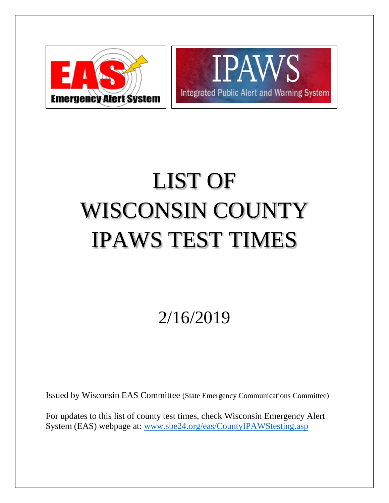



## LIST OF WISCONSIN COUNTY IPAWS TEST TIMES

2/16/2019

Issued by Wisconsin EAS Committee (State Emergency Communications Committee)

For updates to this list of county test times, check Wisconsin Emergency Alert System (EAS) webpage at: [www.sbe24.org/eas/CountyIPAWStesting.asp](http://www.sbe24.org/eas/CountyIPAWStesting.asp)